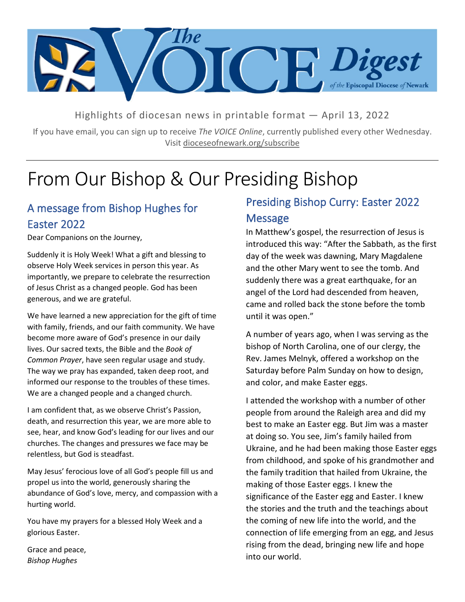

Highlights of diocesan news in printable format — April 13, 2022

If you have email, you can sign up to receive *The VOICE Online*, currently published every other Wednesday. Visit dioceseofnewark.org/subscribe

# From Our Bishop & Our Presiding Bishop

## A message from Bishop Hughes for Easter 2022

Dear Companions on the Journey,

Suddenly it is Holy Week! What a gift and blessing to observe Holy Week services in person this year. As importantly, we prepare to celebrate the resurrection of Jesus Christ as a changed people. God has been generous, and we are grateful.

We have learned a new appreciation for the gift of time with family, friends, and our faith community. We have become more aware of God's presence in our daily lives. Our sacred texts, the Bible and the *Book of Common Prayer*, have seen regular usage and study. The way we pray has expanded, taken deep root, and informed our response to the troubles of these times. We are a changed people and a changed church.

I am confident that, as we observe Christ's Passion, death, and resurrection this year, we are more able to see, hear, and know God's leading for our lives and our churches. The changes and pressures we face may be relentless, but God is steadfast.

May Jesus' ferocious love of all God's people fill us and propel us into the world, generously sharing the abundance of God's love, mercy, and compassion with a hurting world.

You have my prayers for a blessed Holy Week and a glorious Easter.

Grace and peace, *Bishop Hughes*

# Presiding Bishop Curry: Easter 2022 Message

In Matthew's gospel, the resurrection of Jesus is introduced this way: "After the Sabbath, as the first day of the week was dawning, Mary Magdalene and the other Mary went to see the tomb. And suddenly there was a great earthquake, for an angel of the Lord had descended from heaven, came and rolled back the stone before the tomb until it was open."

A number of years ago, when I was serving as the bishop of North Carolina, one of our clergy, the Rev. James Melnyk, offered a workshop on the Saturday before Palm Sunday on how to design, and color, and make Easter eggs.

I attended the workshop with a number of other people from around the Raleigh area and did my best to make an Easter egg. But Jim was a master at doing so. You see, Jim's family hailed from Ukraine, and he had been making those Easter eggs from childhood, and spoke of his grandmother and the family tradition that hailed from Ukraine, the making of those Easter eggs. I knew the significance of the Easter egg and Easter. I knew the stories and the truth and the teachings about the coming of new life into the world, and the connection of life emerging from an egg, and Jesus rising from the dead, bringing new life and hope into our world.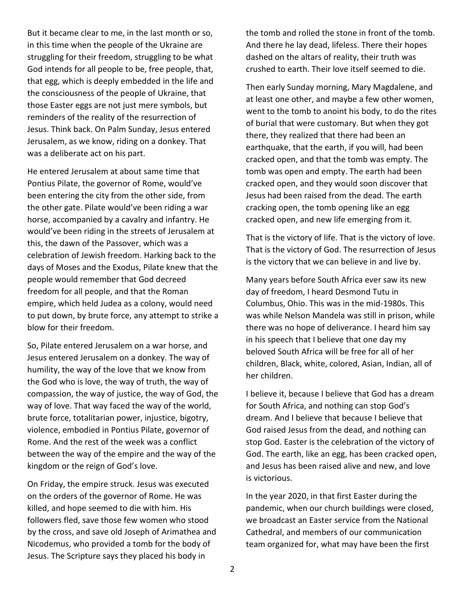But it became clear to me, in the last month or so, in this time when the people of the Ukraine are struggling for their freedom, struggling to be what God intends for all people to be, free people, that, that egg, which is deeply embedded in the life and the consciousness of the people of Ukraine, that those Easter eggs are not just mere symbols, but reminders of the reality of the resurrection of Jesus. Think back. On Palm Sunday, Jesus entered Jerusalem, as we know, riding on a donkey. That was a deliberate act on his part.

He entered Jerusalem at about same time that Pontius Pilate, the governor of Rome, would've been entering the city from the other side, from the other gate. Pilate would've been riding a war horse, accompanied by a cavalry and infantry. He would've been riding in the streets of Jerusalem at this, the dawn of the Passover, which was a celebration of Jewish freedom. Harking back to the days of Moses and the Exodus, Pilate knew that the people would remember that God decreed freedom for all people, and that the Roman empire, which held Judea as a colony, would need to put down, by brute force, any attempt to strike a blow for their freedom.

So, Pilate entered Jerusalem on a war horse, and Jesus entered Jerusalem on a donkey. The way of humility, the way of the love that we know from the God who is love, the way of truth, the way of compassion, the way of justice, the way of God, the way of love. That way faced the way of the world, brute force, totalitarian power, injustice, bigotry, violence, embodied in Pontius Pilate, governor of Rome. And the rest of the week was a conflict between the way of the empire and the way of the kingdom or the reign of God's love.

On Friday, the empire struck. Jesus was executed on the orders of the governor of Rome. He was killed, and hope seemed to die with him. His followers fled, save those few women who stood by the cross, and save old Joseph of Arimathea and Nicodemus, who provided a tomb for the body of Jesus. The Scripture says they placed his body in

the tomb and rolled the stone in front of the tomb. And there he lay dead, lifeless. There their hopes dashed on the altars of reality, their truth was crushed to earth. Their love itself seemed to die.

Then early Sunday morning, Mary Magdalene, and at least one other, and maybe a few other women, went to the tomb to anoint his body, to do the rites of burial that were customary. But when they got there, they realized that there had been an earthquake, that the earth, if you will, had been cracked open, and that the tomb was empty. The tomb was open and empty. The earth had been cracked open, and they would soon discover that Jesus had been raised from the dead. The earth cracking open, the tomb opening like an egg cracked open, and new life emerging from it.

That is the victory of life. That is the victory of love. That is the victory of God. The resurrection of Jesus is the victory that we can believe in and live by.

Many years before South Africa ever saw its new day of freedom, I heard Desmond Tutu in Columbus, Ohio. This was in the mid-1980s. This was while Nelson Mandela was still in prison, while there was no hope of deliverance. I heard him say in his speech that I believe that one day my beloved South Africa will be free for all of her children, Black, white, colored, Asian, Indian, all of her children.

I believe it, because I believe that God has a dream for South Africa, and nothing can stop God's dream. And I believe that because I believe that God raised Jesus from the dead, and nothing can stop God. Easter is the celebration of the victory of God. The earth, like an egg, has been cracked open, and Jesus has been raised alive and new, and love is victorious.

In the year 2020, in that first Easter during the pandemic, when our church buildings were closed, we broadcast an Easter service from the National Cathedral, and members of our communication team organized for, what may have been the first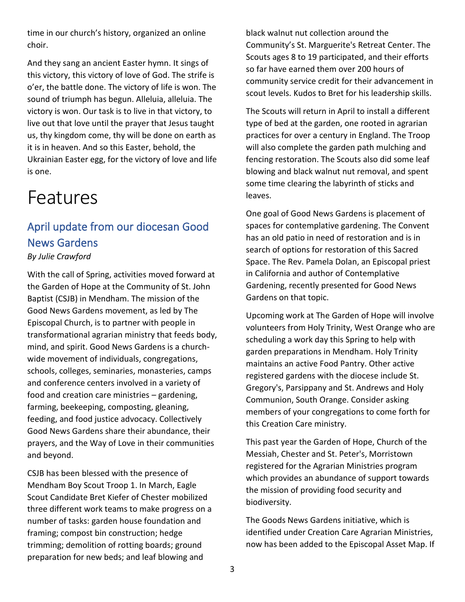time in our church's history, organized an online choir.

And they sang an ancient Easter hymn. It sings of this victory, this victory of love of God. The strife is o'er, the battle done. The victory of life is won. The sound of triumph has begun. Alleluia, alleluia. The victory is won. Our task is to live in that victory, to live out that love until the prayer that Jesus taught us, thy kingdom come, thy will be done on earth as it is in heaven. And so this Easter, behold, the Ukrainian Easter egg, for the victory of love and life is one.

# Features

### April update from our diocesan Good News Gardens *By Julie Crawford*

#### With the call of Spring, activities moved forward at the Garden of Hope at the Community of St. John Baptist (CSJB) in Mendham. The mission of the Good News Gardens movement, as led by The Episcopal Church, is to partner with people in transformational agrarian ministry that feeds body, mind, and spirit. Good News Gardens is a churchwide movement of individuals, congregations, schools, colleges, seminaries, monasteries, camps and conference centers involved in a variety of food and creation care ministries – gardening, farming, beekeeping, composting, gleaning, feeding, and food justice advocacy. Collectively Good News Gardens share their abundance, their prayers, and the Way of Love in their communities and beyond.

CSJB has been blessed with the presence of Mendham Boy Scout Troop 1. In March, Eagle Scout Candidate Bret Kiefer of Chester mobilized three different work teams to make progress on a number of tasks: garden house foundation and framing; compost bin construction; hedge trimming; demolition of rotting boards; ground preparation for new beds; and leaf blowing and

black walnut nut collection around the Community's St. Marguerite's Retreat Center. The Scouts ages 8 to 19 participated, and their efforts so far have earned them over 200 hours of community service credit for their advancement in scout levels. Kudos to Bret for his leadership skills.

The Scouts will return in April to install a different type of bed at the garden, one rooted in agrarian practices for over a century in England. The Troop will also complete the garden path mulching and fencing restoration. The Scouts also did some leaf blowing and black walnut nut removal, and spent some time clearing the labyrinth of sticks and leaves.

One goal of Good News Gardens is placement of spaces for contemplative gardening. The Convent has an old patio in need of restoration and is in search of options for restoration of this Sacred Space. The Rev. Pamela Dolan, an Episcopal priest in California and author of Contemplative Gardening, recently presented for Good News Gardens on that topic.

Upcoming work at The Garden of Hope will involve volunteers from Holy Trinity, West Orange who are scheduling a work day this Spring to help with garden preparations in Mendham. Holy Trinity maintains an active Food Pantry. Other active registered gardens with the diocese include St. Gregory's, Parsippany and St. Andrews and Holy Communion, South Orange. Consider asking members of your congregations to come forth for this Creation Care ministry.

This past year the Garden of Hope, Church of the Messiah, Chester and St. Peter's, Morristown registered for the Agrarian Ministries program which provides an abundance of support towards the mission of providing food security and biodiversity.

The Goods News Gardens initiative, which is identified under Creation Care Agrarian Ministries, now has been added to the Episcopal Asset Map. If